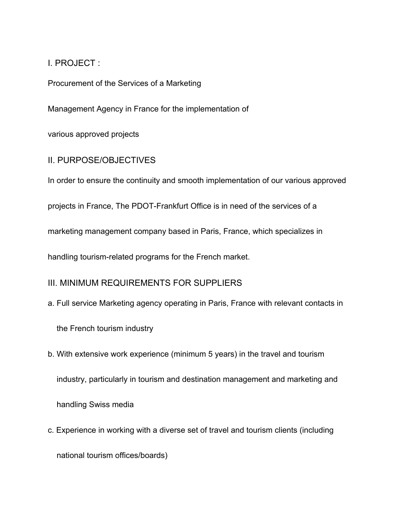I. PROJECT :

Procurement of the Services of a Marketing

Management Agency in France for the implementation of

various approved projects

II. PURPOSE/OBJECTIVES

In order to ensure the continuity and smooth implementation of our various approved

projects in France, The PDOT-Frankfurt Office is in need of the services of a

marketing management company based in Paris, France, which specializes in

handling tourism-related programs for the French market.

## III. MINIMUM REQUIREMENTS FOR SUPPLIERS

a. Full service Marketing agency operating in Paris, France with relevant contacts in

the French tourism industry

- b. With extensive work experience (minimum 5 years) in the travel and tourism industry, particularly in tourism and destination management and marketing and handling Swiss media
- c. Experience in working with a diverse set of travel and tourism clients (including national tourism offices/boards)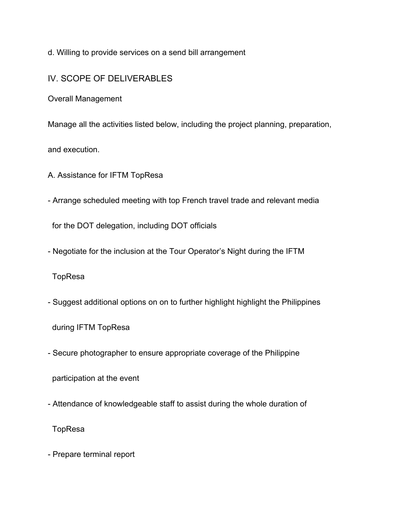d. Willing to provide services on a send bill arrangement

## IV. SCOPE OF DELIVERABLES

Overall Management

Manage all the activities listed below, including the project planning, preparation,

and execution.

A. Assistance for IFTM TopResa

- Arrange scheduled meeting with top French travel trade and relevant media

for the DOT delegation, including DOT officials

- Negotiate for the inclusion at the Tour Operator's Night during the IFTM

TopResa

- Suggest additional options on on to further highlight highlight the Philippines

during IFTM TopResa

- Secure photographer to ensure appropriate coverage of the Philippine

participation at the event

- Attendance of knowledgeable staff to assist during the whole duration of

TopResa

- Prepare terminal report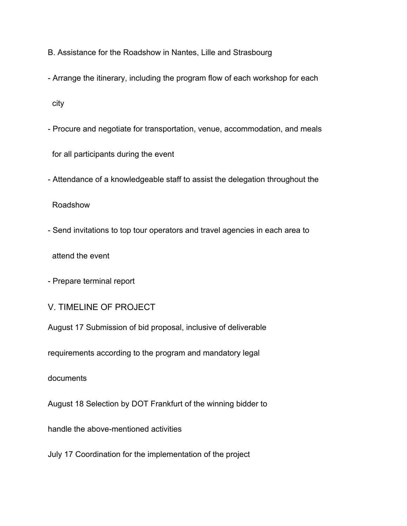- B. Assistance for the Roadshow in Nantes, Lille and Strasbourg
- Arrange the itinerary, including the program flow of each workshop for each

city

- Procure and negotiate for transportation, venue, accommodation, and meals

for all participants during the event

- Attendance of a knowledgeable staff to assist the delegation throughout the

Roadshow

- Send invitations to top tour operators and travel agencies in each area to

attend the event

- Prepare terminal report

V. TIMELINE OF PROJECT

August 17 Submission of bid proposal, inclusive of deliverable

requirements according to the program and mandatory legal

documents

August 18 Selection by DOT Frankfurt of the winning bidder to

handle the above-mentioned activities

July 17 Coordination for the implementation of the project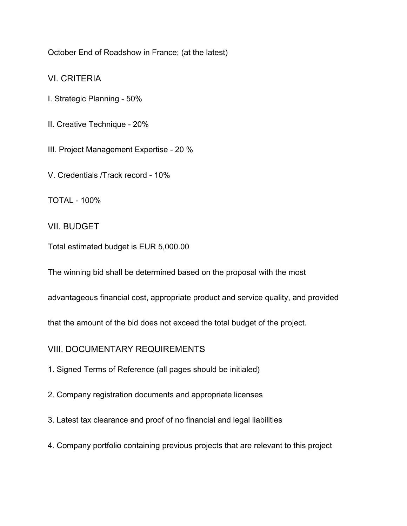October End of Roadshow in France; (at the latest)

VI. CRITERIA

- I. Strategic Planning 50%
- II. Creative Technique 20%

III. Project Management Expertise - 20 %

V. Credentials /Track record - 10%

TOTAL - 100%

VII. BUDGET

Total estimated budget is EUR 5,000.00

The winning bid shall be determined based on the proposal with the most

advantageous financial cost, appropriate product and service quality, and provided

that the amount of the bid does not exceed the total budget of the project.

VIII. DOCUMENTARY REQUIREMENTS

1. Signed Terms of Reference (all pages should be initialed)

2. Company registration documents and appropriate licenses

3. Latest tax clearance and proof of no financial and legal liabilities

4. Company portfolio containing previous projects that are relevant to this project